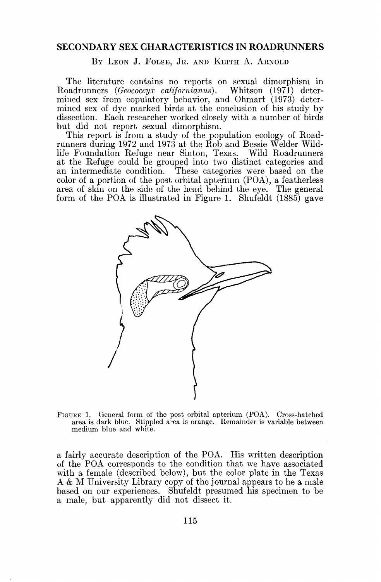## **SECONDARY SEX CHARACTERISTICS IN ROADRUNNERS**

BY LEON J. FOLSE, JR. AND KEITH A. ARNOLD

**The literature contains no reports on sexual dimorphism in**  Roadrunners (Geococcyx californianus). **mined sex from copulatory behavior, and Ohmart (1973) determined sex of dye marked birds at the conclusion of his study by dissection. Each researcher worked closely with a number of birds but did not report sexual dimorphism.** 

**This report is from a study of the population ecology of Roadrunners during 1972 and 1973 at the Rob and Bessie Welder Wildlife Foundation Refuge near Sinton, Texas. Wild Roadrunners at the Refuge could be grouped into two distinct categories and an intermediate condition. These categories were based on the color of a portion of the post orbital apterium (POA), a featherless area of skin on the side of the head behind the eye. The general form of the POA is illustrated in Figure 1. Shufeldt (1885) gave** 



**FIGURE 1. General form of the post orbital apterium (POA). Cross-hatched area is dark blue. Stippled area is orange. Remainder is variable between medium blue and white.** 

**a fairly accurate description of the POA. His written description of the POA corresponds to the condition that we have associated with a female (described below), but the color plate in the Texas A & M University Library copy of the journal appears to be a male based on our experiences. Shufeldt presumed his specimen to be a male, but apparently did not dissect it.**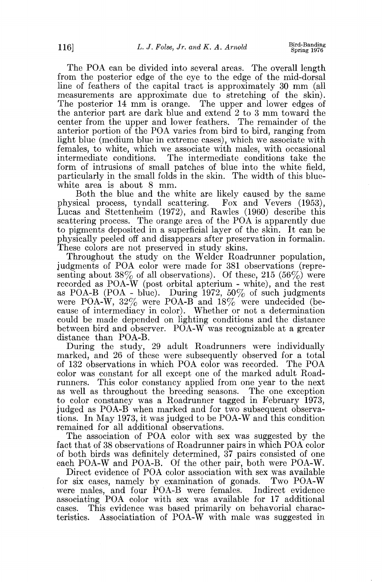**The POA can be divided into several areas. The overall length**  from the posterior edge of the eye to the edge of the mid-dorsal **line of feathers of the capital tract is approximately 30 mm (all measurements are approximate due to stretching of the skin). The posterior 14 mm is orange. The upper and lower edges of the anterior part are dark blue and extend 2 to 3 mm toward the center from the upper and lower feathers. The remainder of the anterior portion of the POA varies from bird to bird, ranging from light blue (medium blue in extreme cases), which we associate with females, to white, which we associate with males, with occasional intermediate conditions. The intermediate conditions take the form of intrusions of small patches of blue into the white field, particularly in the small folds in the skin. The width of this blue**white area is about 8 mm.

**Both the blue and the white are likely caused by the same physical process, tyndall scattering. Fox and Vevers (1953),**  Lucas and Stettenheim (1972), and Rawles (1960) describe this **scattering process. The orange area of the POA is apparently due to pigments deposited in a superficial layer of the skin. It can be physically peeled off and disappears after preservation in formalin. These colors are not preserved in study skins.** 

**Throughout the study on the Welder Roadrunner population, judgments of POA color were made for 381 observations (representing about 38% of all observations). Of these, 215 (56%) were recorded as POA-W (post orbital apterium - white), and the rest as POA-B (POA - blue). During 1972, 50% of such judgments were POA-W, 32% were POA-B and 18% were undecided (because of intermediacy in color). Whether or not a determination could be made depended on lighting conditions and the distance between bird and observer. POA-W was recognizable at a greater distance than POA-B.** 

**During the study, 29 adult Roadrunners were individually marked, and 26 of these were subsequently observed for a total of 132 observations in which POA color was recorded. The POA color was constant for all except one of the marked adult Roadrunners. This color constancy applied from one year to the next as well as throughout the breeding seasons. The one exception to color constancy was a Roadrunner tagged in February 1973, judged as POA-B when marked and for two subsequent observations. In May 1973, it was judged to be POA-W and this condition remained for all additional observations.** 

**The association of POA color with sex was suggested by the fact that of 38 observations of Roadrunner pairs in which POA color of both birds was definitely determined, 37 pairs consisted of one each POA-W and POA-B. Of the other pair, both were POA-W.** 

**Direct evidence of POA color association with sex was available for six cases, namely by examination of gonads. Two POA-W were males, and four POA-B were females. Indirect evidence associating POA color with sex was available for 17 additional**  This evidence was based primarily on behavorial charac**teristics. Associatiation of POA-W with male was suggested in**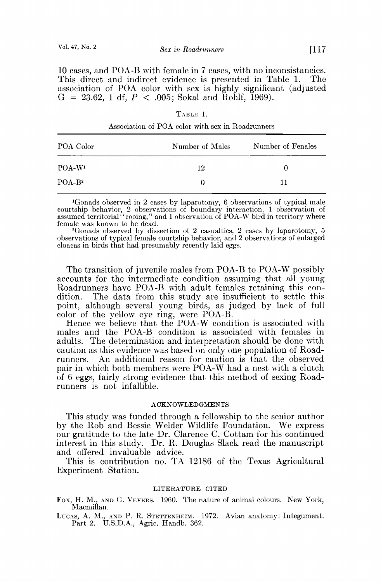**10 cases, and POA-B with female in 7 cases, with no inconsistancies.**  This direct and indirect evidence is presented in Table 1. **association of POA color with sex is highly significant (adjusted**   $G = 23.62$ , 1 df,  $P < .005$ ; Sokal and Rohlf, 1969).

| POA Color | Number of Males | Number of Fenales |
|-----------|-----------------|-------------------|
| $POA-W1$  | 12              |                   |
| $POA-B2$  | O               | 11                |

**TABLE 1. Association of POA color with sex in Roadrunners** 

 $^{4}$ Gonads observed in 2 cases by laparotomy, 6 observations of typical male<br>courtship behavior, 2 observations of boundary interaction, 1 observation of<br>assumed territorial "cooing," and 1 observation of POA-W bird in t

**2Gonads observed by dissection of 2 casualties, 2 cases by laparotomy, 5 observations of typical female courtship behavior, and 2 observations of enlarged cloacas in birds that had presumably recently laid eggs.** 

**The transition of juvenile males from POA-B to POA-W possibly accounts for the intermediate condition assuming that all young Roadrunners have POA-B with adult females retaining this con-**The data from this study are insufficient to settle this **point, although several young birds, as judged by lack of full color of the yellow eye ring, were POA-B.** 

**Hence we believe that the POA-W condition is associated with males and the POA-B condition is associated with females in adults. The determination and interpretation should be done with caution as this evidence was based on only one population of Road-**An additional reason for caution is that the observed pair in which both members were POA-W had a nest with a clutch **of 6 eggs, fairly strong evidence that this method of sexing Roadrunners is not infallible.** 

## **ACKNO•VLEDGMENTS**

**This study was funded through a fellowship to the senior author by the Rob and Bessie Welder Wildlife Foundation. We express our gratitude to the late Dr. Clarence C. Cottam for his continued interest in this study. Dr. R. Douglas Slack read the manuscript and offered invaluable advice.** 

**This is contribution no. TA 12186 of the Texas Agricultural Experiment Station.** 

## **LITERATURE CITED**

Fox, H. M., AND G. VEVERS. 1960. The nature of animal colours. New York, Macmillan.

LUCAS, A. M., AND P. R. STETTENHEIM. 1972. Avian anatomy: Integument. Part 2. U.S.D.A., Agric. Handb. 362.